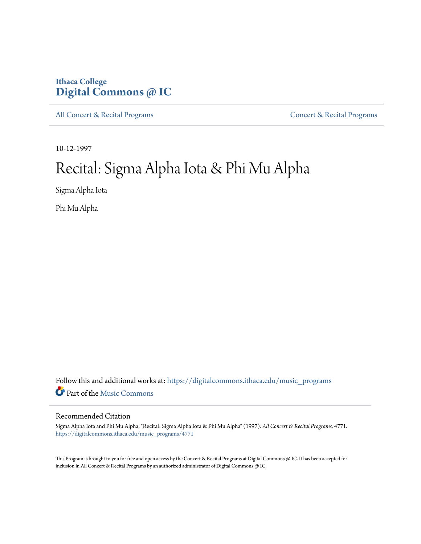## **Ithaca College [Digital Commons @ IC](https://digitalcommons.ithaca.edu?utm_source=digitalcommons.ithaca.edu%2Fmusic_programs%2F4771&utm_medium=PDF&utm_campaign=PDFCoverPages)**

[All Concert & Recital Programs](https://digitalcommons.ithaca.edu/music_programs?utm_source=digitalcommons.ithaca.edu%2Fmusic_programs%2F4771&utm_medium=PDF&utm_campaign=PDFCoverPages) **[Concert & Recital Programs](https://digitalcommons.ithaca.edu/som_programs?utm_source=digitalcommons.ithaca.edu%2Fmusic_programs%2F4771&utm_medium=PDF&utm_campaign=PDFCoverPages)** 

10-12-1997

## Recital: Sigma Alpha Iota & Phi Mu Alpha

Sigma Alpha Iota

Phi Mu Alpha

Follow this and additional works at: [https://digitalcommons.ithaca.edu/music\\_programs](https://digitalcommons.ithaca.edu/music_programs?utm_source=digitalcommons.ithaca.edu%2Fmusic_programs%2F4771&utm_medium=PDF&utm_campaign=PDFCoverPages) Part of the [Music Commons](http://network.bepress.com/hgg/discipline/518?utm_source=digitalcommons.ithaca.edu%2Fmusic_programs%2F4771&utm_medium=PDF&utm_campaign=PDFCoverPages)

## Recommended Citation

Sigma Alpha Iota and Phi Mu Alpha, "Recital: Sigma Alpha Iota & Phi Mu Alpha" (1997). *All Concert & Recital Programs*. 4771. [https://digitalcommons.ithaca.edu/music\\_programs/4771](https://digitalcommons.ithaca.edu/music_programs/4771?utm_source=digitalcommons.ithaca.edu%2Fmusic_programs%2F4771&utm_medium=PDF&utm_campaign=PDFCoverPages)

This Program is brought to you for free and open access by the Concert & Recital Programs at Digital Commons @ IC. It has been accepted for inclusion in All Concert & Recital Programs by an authorized administrator of Digital Commons @ IC.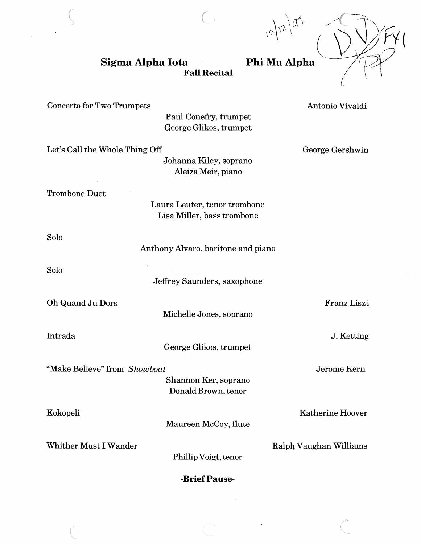**Sigma Alpha Iota Fall Recital**  Phi Mu Alpha

Concerto for Two Trumpets

Paul Conefry, trumpet George Glikos, trumpet

*(* 

Let's Call the Whole Thing Off

Johanna Kiley, soprano Aleiza Meir, piano

Trombone Duet

Laura Leuter, tenor trombone Lisa Miller, bass trombone

Solo

Anthony Alvaro, baritone and piano

Solo

Jeffrey Saunders, saxophone

Oh Quand Ju Dors

Michelle Jones, soprano

Intrada

George Glikos, trumpet

"Make Believe" from *Showboat* 

Shannon Ker, soprano Donald Brown, tenor

Kokopeli

Maureen McCoy, flute

Whither Must I Wander

Phillip Voigt, tenor

**-Brief Pause-**

George Gershwin

Franz Liszt

J.Ketting

Jerome Kem

Katherine Hoover

Ralph Vaughan Williams

Antonio Vivaldi

 $\int_0^1 e^{x^2} dx$ '